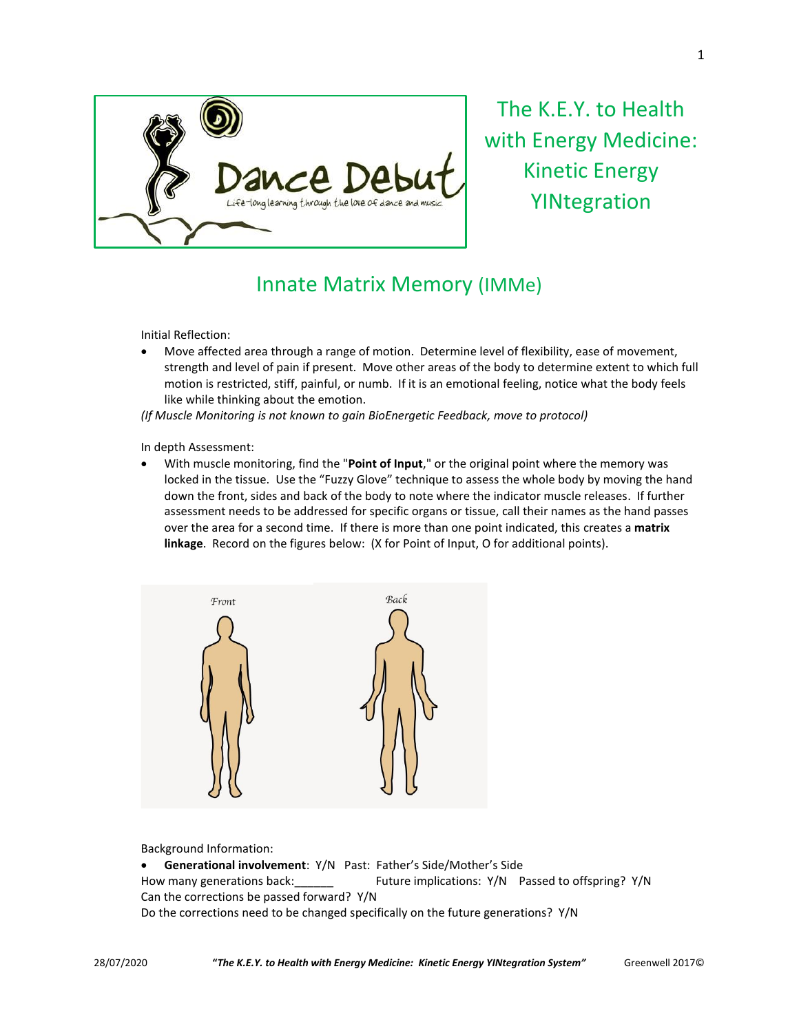

The K.E.Y. to Health with Energy Medicine: Kinetic Energy YINtegration

## Innate Matrix Memory (IMMe)

Initial Reflection:

• Move affected area through a range of motion. Determine level of flexibility, ease of movement, strength and level of pain if present. Move other areas of the body to determine extent to which full motion is restricted, stiff, painful, or numb. If it is an emotional feeling, notice what the body feels like while thinking about the emotion.

*(If Muscle Monitoring is not known to gain BioEnergetic Feedback, move to protocol)*

In depth Assessment:

• With muscle monitoring, find the "**Point of Input**," or the original point where the memory was locked in the tissue. Use the "Fuzzy Glove" technique to assess the whole body by moving the hand down the front, sides and back of the body to note where the indicator muscle releases. If further assessment needs to be addressed for specific organs or tissue, call their names as the hand passes over the area for a second time. If there is more than one point indicated, this creates a **matrix linkage**. Record on the figures below: (X for Point of Input, O for additional points).



Background Information:

• **Generational involvement**: Y/N Past: Father's Side/Mother's Side

How many generations back: Future implications: Y/N Passed to offspring? Y/N Can the corrections be passed forward? Y/N

Do the corrections need to be changed specifically on the future generations? Y/N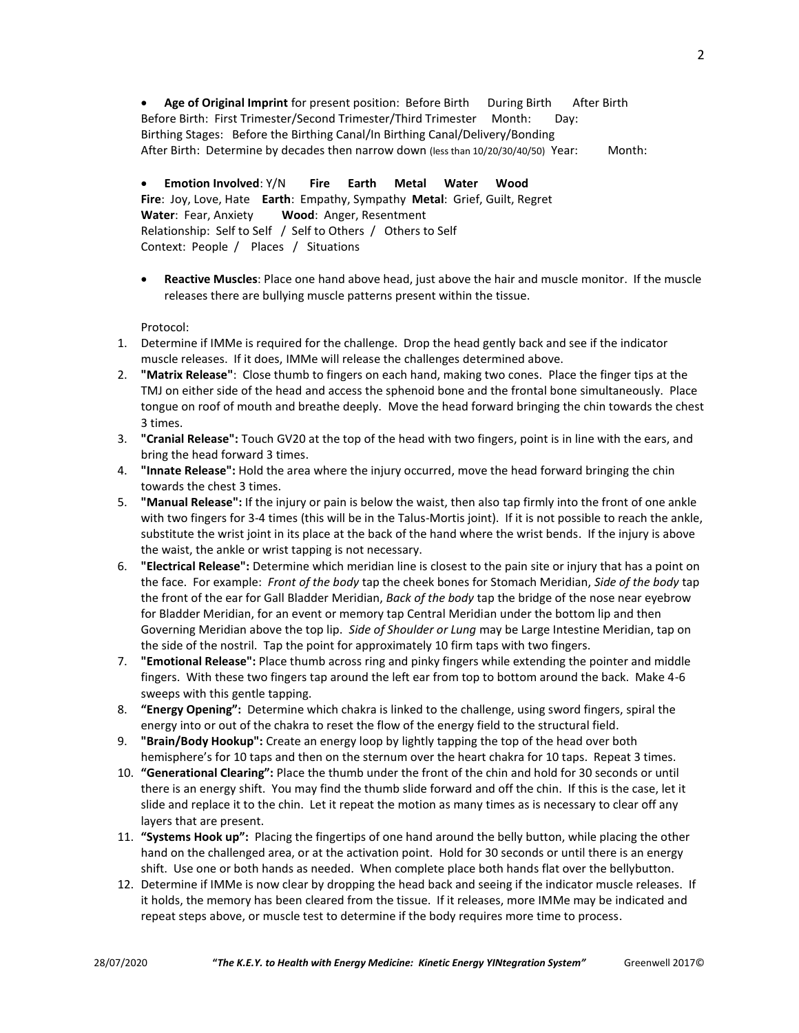• **Age of Original Imprint** for present position: Before Birth During Birth After Birth Before Birth: First Trimester/Second Trimester/Third Trimester Month: Day: Birthing Stages: Before the Birthing Canal/In Birthing Canal/Delivery/Bonding After Birth: Determine by decades then narrow down (less than 10/20/30/40/50) Year: Month:

## • **Emotion Involved**: Y/N **Fire Earth Metal Water Wood**

**Fire**: Joy, Love, Hate **Earth**: Empathy, Sympathy **Metal**: Grief, Guilt, Regret **Water**: Fear, Anxiety **Wood**: Anger, Resentment Relationship: Self to Self / Self to Others / Others to Self Context: People / Places / Situations

• **Reactive Muscles**: Place one hand above head, just above the hair and muscle monitor. If the muscle releases there are bullying muscle patterns present within the tissue.

Protocol:

- 1. Determine if IMMe is required for the challenge. Drop the head gently back and see if the indicator muscle releases. If it does, IMMe will release the challenges determined above.
- 2. **"Matrix Release"**: Close thumb to fingers on each hand, making two cones. Place the finger tips at the TMJ on either side of the head and access the sphenoid bone and the frontal bone simultaneously. Place tongue on roof of mouth and breathe deeply. Move the head forward bringing the chin towards the chest 3 times.
- 3. **"Cranial Release":** Touch GV20 at the top of the head with two fingers, point is in line with the ears, and bring the head forward 3 times.
- 4. **"Innate Release":** Hold the area where the injury occurred, move the head forward bringing the chin towards the chest 3 times.
- 5. **"Manual Release":** If the injury or pain is below the waist, then also tap firmly into the front of one ankle with two fingers for 3-4 times (this will be in the Talus-Mortis joint). If it is not possible to reach the ankle, substitute the wrist joint in its place at the back of the hand where the wrist bends. If the injury is above the waist, the ankle or wrist tapping is not necessary.
- 6. **"Electrical Release":** Determine which meridian line is closest to the pain site or injury that has a point on the face. For example: *Front of the body* tap the cheek bones for Stomach Meridian, *Side of the body* tap the front of the ear for Gall Bladder Meridian, *Back of the body* tap the bridge of the nose near eyebrow for Bladder Meridian, for an event or memory tap Central Meridian under the bottom lip and then Governing Meridian above the top lip. *Side of Shoulder or Lung* may be Large Intestine Meridian, tap on the side of the nostril. Tap the point for approximately 10 firm taps with two fingers.
- 7. **"Emotional Release":** Place thumb across ring and pinky fingers while extending the pointer and middle fingers. With these two fingers tap around the left ear from top to bottom around the back. Make 4-6 sweeps with this gentle tapping.
- 8. **"Energy Opening":** Determine which chakra is linked to the challenge, using sword fingers, spiral the energy into or out of the chakra to reset the flow of the energy field to the structural field.
- 9. **"Brain/Body Hookup":** Create an energy loop by lightly tapping the top of the head over both hemisphere's for 10 taps and then on the sternum over the heart chakra for 10 taps. Repeat 3 times.
- 10. **"Generational Clearing":** Place the thumb under the front of the chin and hold for 30 seconds or until there is an energy shift. You may find the thumb slide forward and off the chin. If this is the case, let it slide and replace it to the chin. Let it repeat the motion as many times as is necessary to clear off any layers that are present.
- 11. **"Systems Hook up":** Placing the fingertips of one hand around the belly button, while placing the other hand on the challenged area, or at the activation point. Hold for 30 seconds or until there is an energy shift. Use one or both hands as needed. When complete place both hands flat over the bellybutton.
- 12. Determine if IMMe is now clear by dropping the head back and seeing if the indicator muscle releases. If it holds, the memory has been cleared from the tissue. If it releases, more IMMe may be indicated and repeat steps above, or muscle test to determine if the body requires more time to process.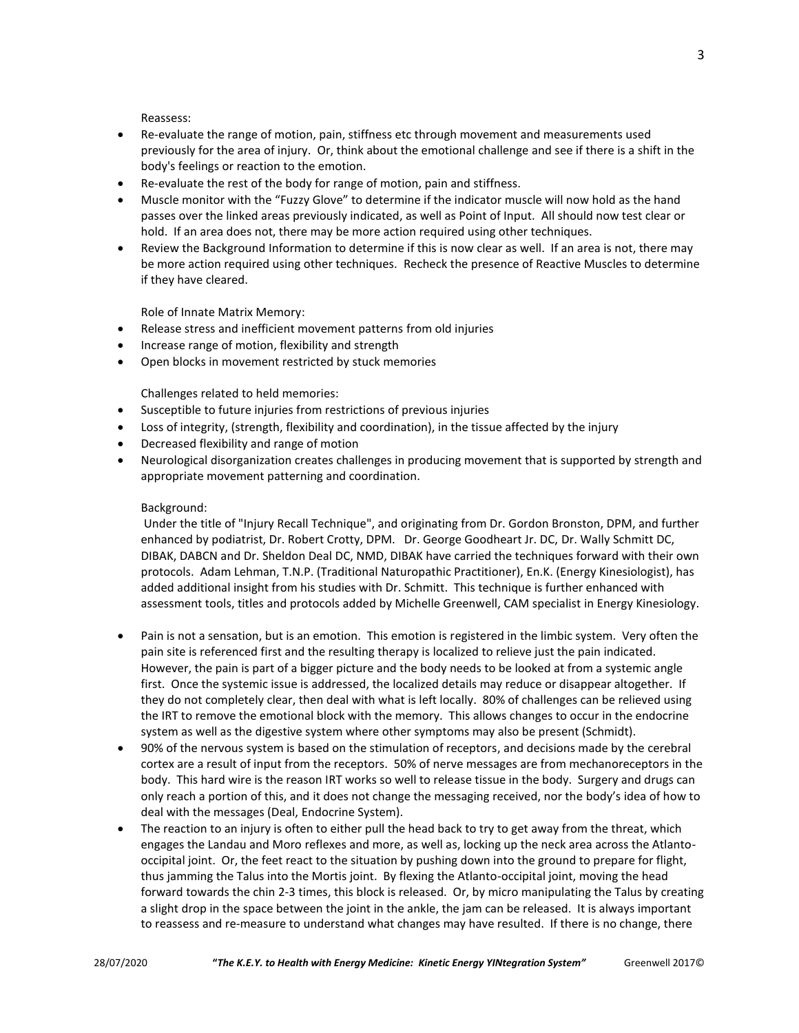Reassess:

- Re-evaluate the range of motion, pain, stiffness etc through movement and measurements used previously for the area of injury. Or, think about the emotional challenge and see if there is a shift in the body's feelings or reaction to the emotion.
- Re-evaluate the rest of the body for range of motion, pain and stiffness.
- Muscle monitor with the "Fuzzy Glove" to determine if the indicator muscle will now hold as the hand passes over the linked areas previously indicated, as well as Point of Input. All should now test clear or hold. If an area does not, there may be more action required using other techniques.
- Review the Background Information to determine if this is now clear as well. If an area is not, there may be more action required using other techniques. Recheck the presence of Reactive Muscles to determine if they have cleared.

Role of Innate Matrix Memory:

- Release stress and inefficient movement patterns from old injuries
- Increase range of motion, flexibility and strength
- Open blocks in movement restricted by stuck memories

Challenges related to held memories:

- Susceptible to future injuries from restrictions of previous injuries
- Loss of integrity, (strength, flexibility and coordination), in the tissue affected by the injury
- Decreased flexibility and range of motion
- Neurological disorganization creates challenges in producing movement that is supported by strength and appropriate movement patterning and coordination.

## Background:

Under the title of "Injury Recall Technique", and originating from Dr. Gordon Bronston, DPM, and further enhanced by podiatrist, Dr. Robert Crotty, DPM. Dr. George Goodheart Jr. DC, Dr. Wally Schmitt DC, DIBAK, DABCN and Dr. Sheldon Deal DC, NMD, DIBAK have carried the techniques forward with their own protocols. Adam Lehman, T.N.P. (Traditional Naturopathic Practitioner), En.K. (Energy Kinesiologist), has added additional insight from his studies with Dr. Schmitt. This technique is further enhanced with assessment tools, titles and protocols added by Michelle Greenwell, CAM specialist in Energy Kinesiology.

- Pain is not a sensation, but is an emotion. This emotion is registered in the limbic system. Very often the pain site is referenced first and the resulting therapy is localized to relieve just the pain indicated. However, the pain is part of a bigger picture and the body needs to be looked at from a systemic angle first. Once the systemic issue is addressed, the localized details may reduce or disappear altogether. If they do not completely clear, then deal with what is left locally. 80% of challenges can be relieved using the IRT to remove the emotional block with the memory. This allows changes to occur in the endocrine system as well as the digestive system where other symptoms may also be present (Schmidt).
- 90% of the nervous system is based on the stimulation of receptors, and decisions made by the cerebral cortex are a result of input from the receptors. 50% of nerve messages are from mechanoreceptors in the body. This hard wire is the reason IRT works so well to release tissue in the body. Surgery and drugs can only reach a portion of this, and it does not change the messaging received, nor the body's idea of how to deal with the messages (Deal, Endocrine System).
- The reaction to an injury is often to either pull the head back to try to get away from the threat, which engages the Landau and Moro reflexes and more, as well as, locking up the neck area across the Atlantooccipital joint. Or, the feet react to the situation by pushing down into the ground to prepare for flight, thus jamming the Talus into the Mortis joint. By flexing the Atlanto-occipital joint, moving the head forward towards the chin 2-3 times, this block is released. Or, by micro manipulating the Talus by creating a slight drop in the space between the joint in the ankle, the jam can be released. It is always important to reassess and re-measure to understand what changes may have resulted. If there is no change, there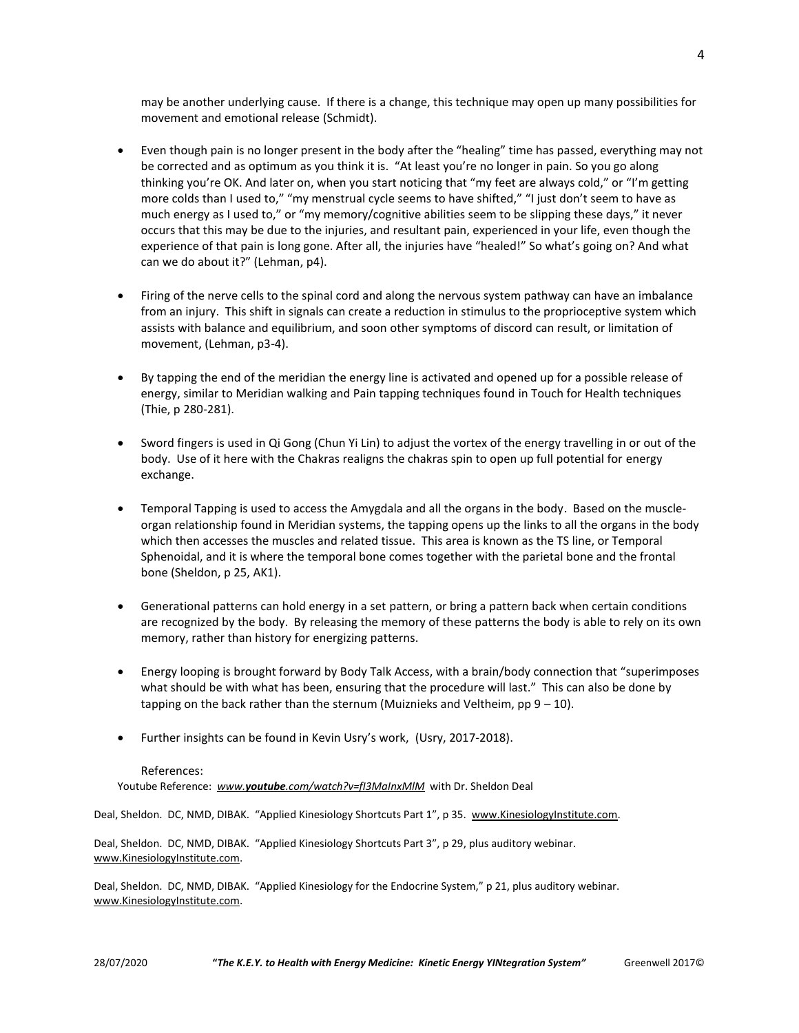may be another underlying cause. If there is a change, this technique may open up many possibilities for movement and emotional release (Schmidt).

- Even though pain is no longer present in the body after the "healing" time has passed, everything may not be corrected and as optimum as you think it is. "At least you're no longer in pain. So you go along thinking you're OK. And later on, when you start noticing that "my feet are always cold," or "I'm getting more colds than I used to," "my menstrual cycle seems to have shifted," "I just don't seem to have as much energy as I used to," or "my memory/cognitive abilities seem to be slipping these days," it never occurs that this may be due to the injuries, and resultant pain, experienced in your life, even though the experience of that pain is long gone. After all, the injuries have "healed!" So what's going on? And what can we do about it?" (Lehman, p4).
- Firing of the nerve cells to the spinal cord and along the nervous system pathway can have an imbalance from an injury. This shift in signals can create a reduction in stimulus to the proprioceptive system which assists with balance and equilibrium, and soon other symptoms of discord can result, or limitation of movement, (Lehman, p3-4).
- By tapping the end of the meridian the energy line is activated and opened up for a possible release of energy, similar to Meridian walking and Pain tapping techniques found in Touch for Health techniques (Thie, p 280-281).
- Sword fingers is used in Qi Gong (Chun Yi Lin) to adjust the vortex of the energy travelling in or out of the body. Use of it here with the Chakras realigns the chakras spin to open up full potential for energy exchange.
- Temporal Tapping is used to access the Amygdala and all the organs in the body. Based on the muscleorgan relationship found in Meridian systems, the tapping opens up the links to all the organs in the body which then accesses the muscles and related tissue. This area is known as the TS line, or Temporal Sphenoidal, and it is where the temporal bone comes together with the parietal bone and the frontal bone (Sheldon, p 25, AK1).
- Generational patterns can hold energy in a set pattern, or bring a pattern back when certain conditions are recognized by the body. By releasing the memory of these patterns the body is able to rely on its own memory, rather than history for energizing patterns.
- Energy looping is brought forward by Body Talk Access, with a brain/body connection that "superimposes what should be with what has been, ensuring that the procedure will last." This can also be done by tapping on the back rather than the sternum (Muiznieks and Veltheim,  $pp\,9-10$ ).
- Further insights can be found in Kevin Usry's work, (Usry, 2017-2018).

## References:

Youtube Reference: *www.youtube[.com/watch?v=fI3MaInxMlM](http://www.youtube.com/watch?v=fI3MaInxMlM)* with Dr. Sheldon Deal

Deal, Sheldon. DC, NMD, DIBAK. "Applied Kinesiology Shortcuts Part 1", p 35. www.KinesiologyInstitute.com.

Deal, Sheldon. DC, NMD, DIBAK. "Applied Kinesiology Shortcuts Part 3", p 29, plus auditory webinar. [www.KinesiologyInstitute.com.](http://www.kinesiologyinstitute.com/)

Deal, Sheldon. DC, NMD, DIBAK. "Applied Kinesiology for the Endocrine System," p 21, plus auditory webinar. [www.KinesiologyInstitute.com.](http://www.kinesiologyinstitute.com/)